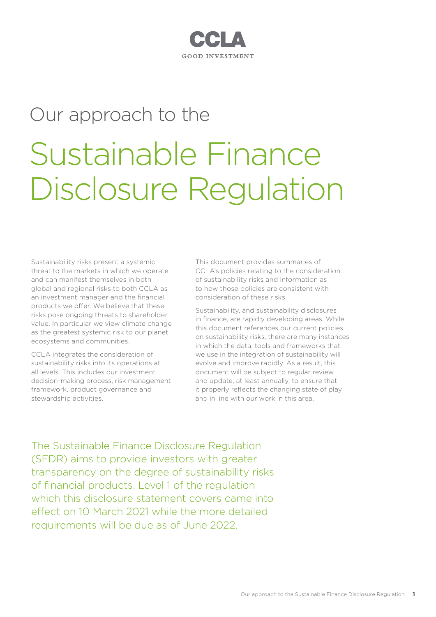### CCI A GOOD INVESTMENT

## Our approach to the

# Sustainable Finance Disclosure Regulation

Sustainability risks present a systemic threat to the markets in which we operate and can manifest themselves in both global and regional risks to both CCLA as an investment manager and the financial products we offer. We believe that these risks pose ongoing threats to shareholder value. In particular we view climate change as the greatest systemic risk to our planet, ecosystems and communities.

CCLA integrates the consideration of sustainability risks into its operations at all levels. This includes our investment decision‑making process, risk management framework, product governance and stewardship activities.

This document provides summaries of CCLA's policies relating to the consideration of sustainability risks and information as to how those policies are consistent with consideration of these risks.

Sustainability, and sustainability disclosures in finance, are rapidly developing areas. While this document references our current policies on sustainability risks, there are many instances in which the data, tools and frameworks that we use in the integration of sustainability will evolve and improve rapidly. As a result, this document will be subject to regular review and update, at least annually, to ensure that it properly reflects the changing state of play and in line with our work in this area.

The Sustainable Finance Disclosure Regulation (SFDR) aims to provide investors with greater transparency on the degree of sustainability risks of financial products. Level 1 of the regulation which this disclosure statement covers came into effect on 10 March 2021 while the more detailed requirements will be due as of June 2022.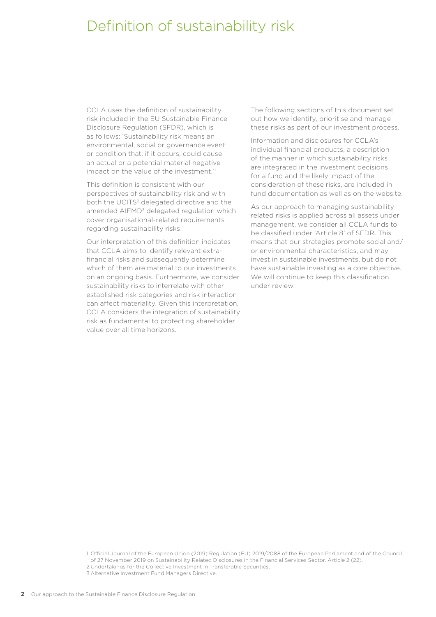## Definition of sustainability risk

CCLA uses the definition of sustainability risk included in the EU Sustainable Finance Disclosure Regulation (SFDR), which is as follows: 'Sustainability risk means an environmental, social or governance event or condition that, if it occurs, could cause an actual or a potential material negative impact on the value of the investment.<sup>'1</sup>

This definition is consistent with our perspectives of sustainability risk and with both the UCITS<sup>2</sup> delegated directive and the amended AIFMD<sup>3</sup> delegated regulation which cover organisational-related requirements regarding sustainability risks.

Our interpretation of this definition indicates that CCLA aims to identify relevant extrafinancial risks and subsequently determine which of them are material to our investments on an ongoing basis. Furthermore, we consider sustainability risks to interrelate with other established risk categories and risk interaction can affect materiality. Given this interpretation, CCLA considers the integration of sustainability risk as fundamental to protecting shareholder value over all time horizons.

The following sections of this document set out how we identify, prioritise and manage these risks as part of our investment process.

Information and disclosures for CCLA's individual financial products, a description of the manner in which sustainability risks are integrated in the investment decisions for a fund and the likely impact of the consideration of these risks, are included in fund documentation as well as on the website.

As our approach to managing sustainability related risks is applied across all assets under management, we consider all CCLA funds to be classified under 'Article 8' of SFDR. This means that our strategies promote social and/ or environmental characteristics, and may invest in sustainable investments, but do not have sustainable investing as a core objective. We will continue to keep this classification under review.

<sup>1</sup> Official Journal of the European Union (2019) Regulation (EU) 2019/2088 of the European Parliament and of the Council of 27 November 2019 on Sustainability Related Disclosures in the Financial Services Sector. Article 2 (22).

<sup>2</sup> Undertakings for the Collective Investment in Transferable Securities.

<sup>3</sup> Alternative Investment Fund Managers Directive.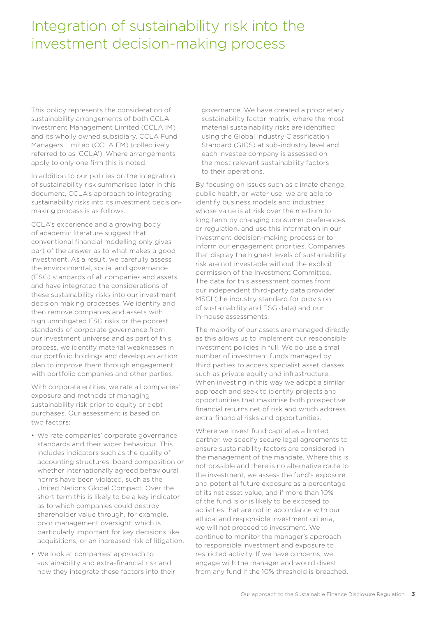## Integration of sustainability risk into the investment decision‑making process

This policy represents the consideration of sustainability arrangements of both CCLA Investment Management Limited (CCLA IM) and its wholly owned subsidiary, CCLA Fund Managers Limited (CCLA FM) (collectively referred to as 'CCLA'). Where arrangements apply to only one firm this is noted.

In addition to our policies on the integration of sustainability risk summarised later in this document, CCLA's approach to integrating sustainability risks into its investment decisionmaking process is as follows.

CCLA's experience and a growing body of academic literature suggest that conventional financial modelling only gives part of the answer as to what makes a good investment. As a result, we carefully assess the environmental, social and governance (ESG) standards of all companies and assets and have integrated the considerations of these sustainability risks into our investment decision making processes. We identify and then remove companies and assets with high unmitigated ESG risks or the poorest standards of corporate governance from our investment universe and as part of this process, we identify material weaknesses in our portfolio holdings and develop an action plan to improve them through engagement with portfolio companies and other parties.

With corporate entities, we rate all companies' exposure and methods of managing sustainability risk prior to equity or debt purchases. Our assessment is based on two factors:

- We rate companies' corporate governance standards and their wider behaviour. This includes indicators such as the quality of accounting structures, board composition or whether internationally agreed behavioural norms have been violated, such as the United Nations Global Compact. Over the short term this is likely to be a key indicator as to which companies could destroy shareholder value through, for example, poor management oversight, which is particularly important for key decisions like acquisitions, or an increased risk of litigation.
- We look at companies' approach to sustainability and extra-financial risk and how they integrate these factors into their

governance. We have created a proprietary sustainability factor matrix, where the most material sustainability risks are identified using the Global Industry Classification Standard (GICS) at sub-industry level and each investee company is assessed on the most relevant sustainability factors to their operations.

By focusing on issues such as climate change, public health, or water use, we are able to identify business models and industries whose value is at risk over the medium to long term by changing consumer preferences or regulation, and use this information in our investment decision-making process or to inform our engagement priorities. Companies that display the highest levels of sustainability risk are not investable without the explicit permission of the Investment Committee. The data for this assessment comes from our independent third-party data provider, MSCI (the industry standard for provision of sustainability and ESG data) and our in‑house assessments.

The majority of our assets are managed directly as this allows us to implement our responsible investment policies in full. We do use a small number of investment funds managed by third parties to access specialist asset classes such as private equity and infrastructure. When investing in this way we adopt a similar approach and seek to identify projects and opportunities that maximise both prospective financial returns net of risk and which address extra-financial risks and opportunities.

Where we invest fund capital as a limited partner, we specify secure legal agreements to ensure sustainability factors are considered in the management of the mandate. Where this is not possible and there is no alternative route to the investment, we assess the fund's exposure and potential future exposure as a percentage of its net asset value, and if more than 10% of the fund is or is likely to be exposed to activities that are not in accordance with our ethical and responsible investment criteria, we will not proceed to investment. We continue to monitor the manager's approach to responsible investment and exposure to restricted activity. If we have concerns, we engage with the manager and would divest from any fund if the 10% threshold is breached.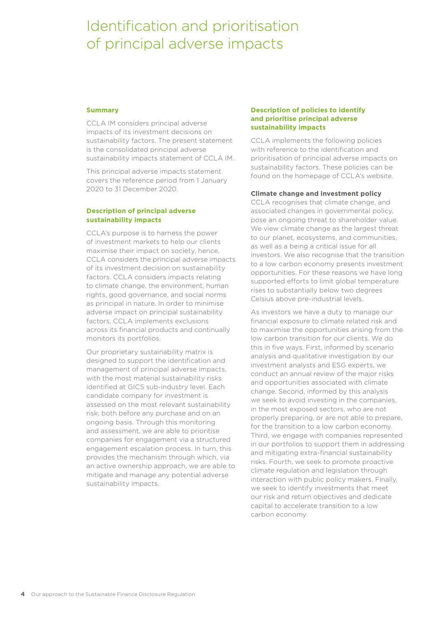## Identification and prioritisation of principal adverse impacts

#### **Summary**

CCLA IM considers principal adverse impacts of its investment decisions on sustainability factors. The present statement is the consolidated principal adverse sustainability impacts statement of CCLA IM.

This principal adverse impacts statement covers the reference period from 1 January 2020 to 31 December 2020.

#### **Description of principal adverse sustainability impacts**

CCLA's purpose is to harness the power of investment markets to help our clients maximise their impact on society, hence, CCLA considers the principal adverse impacts of its investment decision on sustainability factors. CCLA considers impacts relating to climate change, the environment, human rights, good governance, and social norms as principal in nature. In order to minimise adverse impact on principal sustainability factors, CCLA implements exclusions across its financial products and continually monitors its portfolios.

Our proprietary sustainability matrix is designed to support the identification and management of principal adverse impacts, with the most material sustainability risks identified at GICS sub-industry level. Each candidate company for investment is assessed on the most relevant sustainability risk, both before any purchase and on an ongoing basis. Through this monitoring and assessment, we are able to prioritise companies for engagement via a structured engagement escalation process. In turn, this provides the mechanism through which, via an active ownership approach, we are able to mitigate and manage any potential adverse sustainability impacts.

#### **Description of policies to identify and prioritise principal adverse sustainability impacts**

CCLA implements the following policies with reference to the identification and prioritisation of principal adverse impacts on sustainability factors. These policies can be found on the homepage of CCLA's website.

#### **Climate change and investment policy**

CCLA recognises that climate change, and associated changes in governmental policy, pose an ongoing threat to shareholder value. We view climate change as the largest threat to our planet, ecosystems, and communities, as well as a being a critical issue for all investors. We also recognise that the transition to a low carbon economy presents investment opportunities. For these reasons we have long supported efforts to limit global temperature rises to substantially below two degrees Celsius above pre-industrial levels.

As investors we have a duty to manage our financial exposure to climate related risk and to maximise the opportunities arising from the low carbon transition for our clients. We do this in five ways. First, informed by scenario analysis and qualitative investigation by our investment analysts and ESG experts, we conduct an annual review of the major risks and opportunities associated with climate change. Second, informed by this analysis we seek to avoid investing in the companies, in the most exposed sectors, who are not properly preparing, or are not able to prepare, for the transition to a low carbon economy. Third, we engage with companies represented in our portfolios to support them in addressing and mitigating extra-financial sustainability risks. Fourth, we seek to promote proactive climate regulation and legislation through interaction with public policy makers. Finally, we seek to identify investments that meet our risk and return objectives and dedicate capital to accelerate transition to a low carbon economy.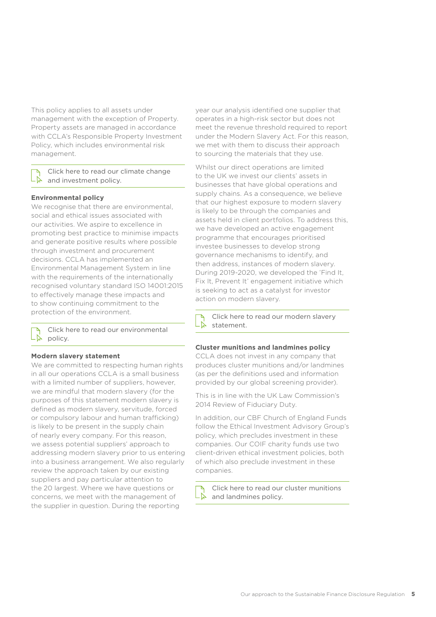This policy applies to all assets under management with the exception of Property. Property assets are managed in accordance with CCLA's Responsible Property Investment Policy, which includes environmental risk management.

#### [Click here to read our climate change](https://www.ccla.co.uk/our-policies/climate-change-and-investment-policy)  [and investment policy.](https://www.ccla.co.uk/our-policies/climate-change-and-investment-policy)

#### **Environmental policy**

We recognise that there are environmental, social and ethical issues associated with our activities. We aspire to excellence in promoting best practice to minimise impacts and generate positive results where possible through investment and procurement decisions. CCLA has implemented an Environmental Management System in line with the requirements of the internationally recognised voluntary standard ISO 14001:2015 to effectively manage these impacts and to show continuing commitment to the protection of the environment.

[Click here to read our environmental](https://www.ccla.co.uk/our-policies/environmental-policy)   $\lambda$ [policy.](https://www.ccla.co.uk/our-policies/environmental-policy)

#### **Modern slavery statement**

We are committed to respecting human rights in all our operations CCLA is a small business with a limited number of suppliers, however, we are mindful that modern slavery (for the purposes of this statement modern slavery is defined as modern slavery, servitude, forced or compulsory labour and human trafficking) is likely to be present in the supply chain of nearly every company. For this reason, we assess potential suppliers' approach to addressing modern slavery prior to us entering into a business arrangement. We also regularly review the approach taken by our existing suppliers and pay particular attention to the 20 largest. Where we have questions or concerns, we meet with the management of the supplier in question. During the reporting

year our analysis identified one supplier that operates in a high-risk sector but does not meet the revenue threshold required to report under the Modern Slavery Act. For this reason, we met with them to discuss their approach to sourcing the materials that they use.

Whilst our direct operations are limited to the UK we invest our clients' assets in businesses that have global operations and supply chains. As a consequence, we believe that our highest exposure to modern slavery is likely to be through the companies and assets held in client portfolios. To address this, we have developed an active engagement programme that encourages prioritised investee businesses to develop strong governance mechanisms to identify, and then address, instances of modern slavery. During 2019-2020, we developed the 'Find It, Fix It, Prevent It' engagement initiative which is seeking to act as a catalyst for investor action on modern slavery.

[Click here to read our modern slavery](https://www.ccla.co.uk/our-policies/ccla-modern-slavery-statement-2020)  -12 [statement.](https://www.ccla.co.uk/our-policies/ccla-modern-slavery-statement-2020)

#### **Cluster munitions and landmines policy**

CCLA does not invest in any company that produces cluster munitions and/or landmines (as per the definitions used and information provided by our global screening provider).

This is in line with the UK Law Commission's 2014 Review of Fiduciary Duty.

In addition, our CBF Church of England Funds follow the Ethical Investment Advisory Group's policy, which precludes investment in these companies. Our COIF charity funds use two client-driven ethical investment policies, both of which also preclude investment in these companies.

[Click here to read our cluster munitions](https://www.ccla.co.uk/our-policies/cluster-munitions-and-landmines-policy)  L۴ [and landmines policy.](https://www.ccla.co.uk/our-policies/cluster-munitions-and-landmines-policy)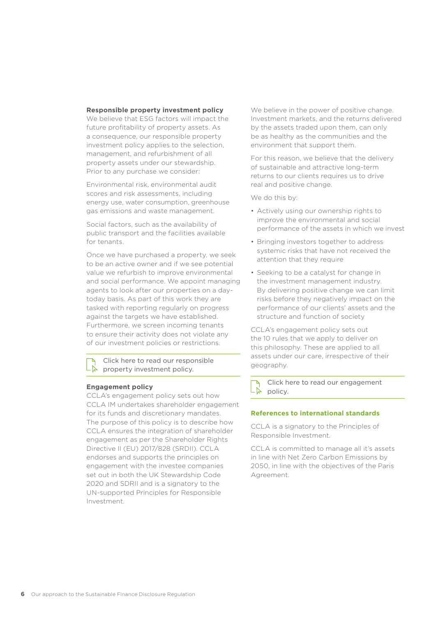#### **Responsible property investment policy**

We believe that ESG factors will impact the future profitability of property assets. As a consequence, our responsible property investment policy applies to the selection, management, and refurbishment of all property assets under our stewardship. Prior to any purchase we consider:

Environmental risk, environmental audit scores and risk assessments, including energy use, water consumption, greenhouse gas emissions and waste management.

Social factors, such as the availability of public transport and the facilities available for tenants.

Once we have purchased a property, we seek to be an active owner and if we see potential value we refurbish to improve environmental and social performance. We appoint managing agents to look after our properties on a daytoday basis. As part of this work they are tasked with reporting regularly on progress against the targets we have established. Furthermore, we screen incoming tenants to ensure their activity does not violate any of our investment policies or restrictions.

[Click here to read our responsible](https://www.ccla.co.uk/sites/default/files/Responsible%20Investment%20Report%202019.pdf)  [property investment policy.](https://www.ccla.co.uk/sites/default/files/Responsible%20Investment%20Report%202019.pdf)

#### **Engagement policy**

CCLA's engagement policy sets out how CCLA IM undertakes shareholder engagement for its funds and discretionary mandates. The purpose of this policy is to describe how CCLA ensures the integration of shareholder engagement as per the Shareholder Rights Directive II (EU) 2017/828 (SRDII). CCLA endorses and supports the principles on engagement with the investee companies set out in both the UK Stewardship Code 2020 and SDRII and is a signatory to the UN-supported Principles for Responsible Investment.

We believe in the power of positive change. Investment markets, and the returns delivered by the assets traded upon them, can only be as healthy as the communities and the environment that support them.

For this reason, we believe that the delivery of sustainable and attractive long-term returns to our clients requires us to drive real and positive change.

We do this by:

- Actively using our ownership rights to improve the environmental and social performance of the assets in which we invest
- Bringing investors together to address systemic risks that have not received the attention that they require
- Seeking to be a catalyst for change in the investment management industry. By delivering positive change we can limit risks before they negatively impact on the performance of our clients' assets and the structure and function of society

CCLA's engagement policy sets out the 10 rules that we apply to deliver on this philosophy. These are applied to all assets under our care, irrespective of their geography.

[Click here to read our engagement](https://www.ccla.co.uk/sites/default/files/Engagement%20Policy.pdf)  Lň [policy.](https://www.ccla.co.uk/sites/default/files/Engagement%20Policy.pdf)

#### **References to international standards**

CCLA is a signatory to the Principles of Responsible Investment.

CCLA is committed to manage all it's assets in line with Net Zero Carbon Emissions by 2050, in line with the objectives of the Paris Agreement.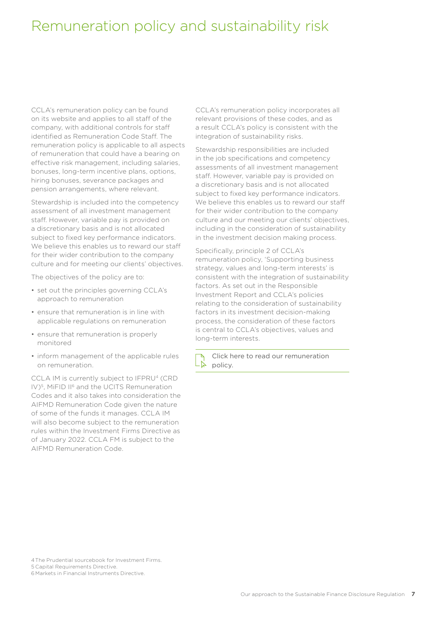## Remuneration policy and sustainability risk

CCLA's remuneration policy can be found on its website and applies to all staff of the company, with additional controls for staff identified as Remuneration Code Staff. The remuneration policy is applicable to all aspects of remuneration that could have a bearing on effective risk management, including salaries, bonuses, long-term incentive plans, options, hiring bonuses, severance packages and pension arrangements, where relevant.

Stewardship is included into the competency assessment of all investment management staff. However, variable pay is provided on a discretionary basis and is not allocated subject to fixed key performance indicators. We believe this enables us to reward our staff for their wider contribution to the company culture and for meeting our clients' objectives.

The objectives of the policy are to:

- set out the principles governing CCLA's approach to remuneration
- ensure that remuneration is in line with applicable regulations on remuneration
- ensure that remuneration is properly monitored
- inform management of the applicable rules on remuneration.

CCLA IM is currently subject to IFPRU<sup>4</sup> (CRD IV)5, MiFID II6 and the UCITS Remuneration Codes and it also takes into consideration the AIFMD Remuneration Code given the nature of some of the funds it manages. CCLA IM will also become subject to the remuneration rules within the Investment Firms Directive as of January 2022. CCLA FM is subject to the AIFMD Remuneration Code.

CCLA's remuneration policy incorporates all relevant provisions of these codes, and as a result CCLA's policy is consistent with the integration of sustainability risks.

Stewardship responsibilities are included in the job specifications and competency assessments of all investment management staff. However, variable pay is provided on a discretionary basis and is not allocated subject to fixed key performance indicators. We believe this enables us to reward our staff for their wider contribution to the company culture and our meeting our clients' objectives, including in the consideration of sustainability in the investment decision making process.

Specifically, principle 2 of CCLA's remuneration policy, 'Supporting business strategy, values and long-term interests' is consistent with the integration of sustainability factors. As set out in the Responsible Investment Report and CCLA's policies relating to the consideration of sustainability factors in its investment decision-making process, the consideration of these factors is central to CCLA's objectives, values and long-term interests.

[Click here to read our remuneration](https://www.ccla.co.uk/our-policies/remuneration-policy)  LŖ [policy.](https://www.ccla.co.uk/our-policies/remuneration-policy)

4The Prudential sourcebook for Investment Firms. 5 Capital Requirements Directive.

6 Markets in Financial Instruments Directive.